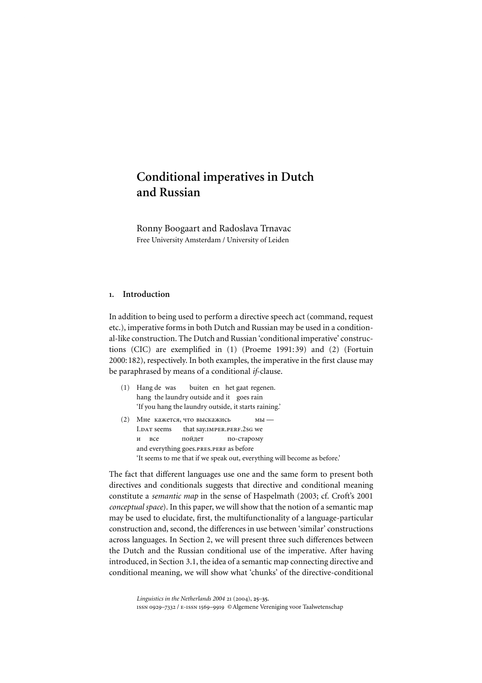# Conditional imperatives in Dutch and Russian

Ronny Boogaart and Radoslava Trnavac Free University Amsterdam / University of Leiden

# 1. Introduction

In addition to being used to perform a directive speech act (command, request etc.), imperative forms in both Dutch and Russian may be used in a conditional-like construction. The Dutch and Russian 'conditional imperative' constructions (CIC) are exemplified in (1) [\(Proeme 1991:39\)](#page-10-0) and (2) [\(Fortuin](#page-10-0) [2000:182](#page-10-0)), respectively. In both examples, the imperative in the first clause may be paraphrased by means of a conditional *if*-clause.

- (1) Hang de was buiten en het gaat regenen. hang the laundry outside and it goes rain 'If you hang the laundry outside, it starts raining.'
- (2) Мне кажется, что выскажи  $MBI$  — I.dat seems that say.imper.perf.2sg we  $U$   $BCP$ пойдет по-старому and everything goes.PRES.PERF as before 'It seems to me that if we speak out, everything will become as before.'

The fact that different languages use one and the same form to present both directives and conditionals suggests that directive and conditional meaning constitute a *semantic map* in the sense of [Haspelmath \(2003](#page-10-0); cf. [Croft's 2001](#page-9-0) *conceptual space*). In this paper, we will show that the notion of a semantic map may be used to elucidate, first, the multifunctionality of a language-particular construction and, second, the differences in use between 'similar' constructions across languages. In Section 2, we will present three such differences between the Dutch and the Russian conditional use of the imperative. After having introduced, in Section 3.1, the idea of a semantic map connecting directive and conditional meaning, we will show what 'chunks' of the directive-conditional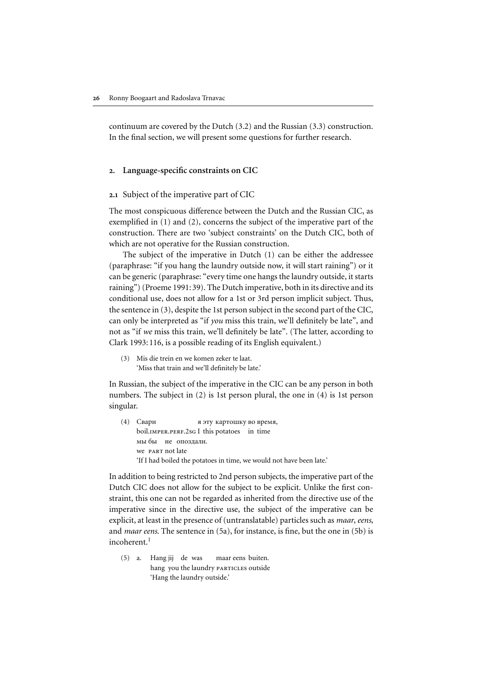continuum are covered by the Dutch (3.2) and the Russian (3.3) construction. In the final section, we will present some questions for further research.

## 2. Language-specific constraints on CIC

#### 2.1 Subject of the imperative part of CIC

The most conspicuous difference between the Dutch and the Russian CIC, as exemplified in (1) and (2), concerns the subject of the imperative part of the construction. There are two 'subject constraints' on the Dutch CIC, both of which are not operative for the Russian construction.

The subject of the imperative in Dutch (1) can be either the addressee (paraphrase: "if you hang the laundry outside now, it will start raining") or it can be generic (paraphrase: "every time one hangs the laundry outside, it starts raining") (Proeme 1991:39). The Dutch imperative, both in its directive and its conditional use, does not allow for a 1st or 3rd person implicit subject. Thus, the sentence in (3), despite the 1st person subject in the second part of the CIC, can only be interpreted as "if *you* miss this train, we'll definitely be late", and not as "if *we* miss this train, we'll definitely be late". (The latter, according to [Clark 1993:116](#page-9-0), is a possible reading of its English equivalent.) 26 Ronny Boogaart and Radoslava Trnavac<br>
continuum are covered by the Dutch (3.2)<br>
In the final section, we will present some c<br>
2. Language-specific constraints on CI<br>
2.1 Subject of the imperative part of CIC<br>
The most

'Miss that train and we'll definitely be late.'

In Russian, the subject of the imperative in the CIC can be any person in both numbers. The subject in (2) is 1st person plural, the one in (4) is 1st person singular.

 $(4)$  Свари я эту картошку во время, boil.imper.perf.2sg I this potatoes in time мы бы ие опоздали. we part not late 'If I had boiled the potatoes in time, we would not have been late.'

In addition to being restricted to 2nd person subjects, the imperative part of the Dutch CIC does not allow for the subject to be explicit. Unlike the first constraint, this one can not be regarded as inherited from the directive use of the imperative since in the directive use, the subject of the imperative can be explicit, at least in the presence of (untranslatable) particles such as *maar*, *eens*, and *maar eens*. The sentence in (5a), for instance, is fine, but the one in (5b) is incoherent.<sup>[1](#page-9-0)</sup>

(5) a. Hang jij de was maar eens buiten. hang you the laundry PARTICLES outside 'Hang the laundry outside.'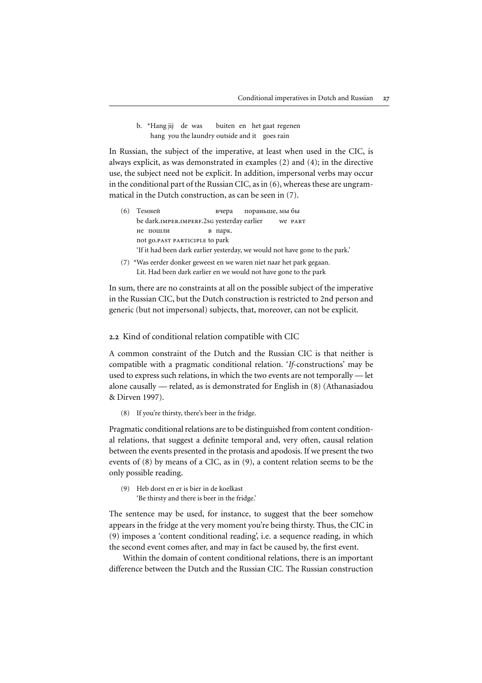b. \*Hang jij de was buiten en het gaat regenen hang you the laundry outside and it goes rain

In Russian, the subject of the imperative, at least when used in the CIC, is always explicit, as was demonstrated in examples (2) and (4); in the directive use, the subject need not be explicit. In addition, impersonal verbs may occur in the conditional part of the Russian CIC, as in (6), whereas these are ungrammatical in the Dutch construction, as can be seen in (7).

- (6) Темней ей вчера пораньше, мы $6$ ы be dark.IMPER.IMPERF.2sG yesterday earlier we PART не пошли в парк. not go.past participle to park 'If it had been dark earlier yesterday, we would not have gone to the park.'
- (7) \*Was eerder donker geweest en we waren niet naar het park gegaan. Lit. Had been dark earlier en we would not have gone to the park

In sum, there are no constraints at all on the possible subject of the imperative in the Russian CIC, but the Dutch construction is restricted to 2nd person and generic (but not impersonal) subjects, that, moreover, can not be explicit.

2.2 Kind of conditional relation compatible with CIC

A common constraint of the Dutch and the Russian CIC is that neither is compatible with a pragmatic conditional relation. '*If*-constructions' may be used to express such relations, in which the two events are not temporally — let alone causally — related, as is demonstrated for English in (8) ([Athanasiadou](#page-9-0) [& Dirven 1997](#page-9-0)).

(8) If you're thirsty, there's beer in the fridge.

Pragmatic conditional relations are to be distinguished from content conditional relations, that suggest a definite temporal and, very often, causal relation between the events presented in the protasis and apodosis. If we present the two events of (8) by means of a CIC, as in (9), a content relation seems to be the only possible reading.

(9) Heb dorst en er is bier in de koelkast 'Be thirsty and there is beer in the fridge.'

The sentence may be used, for instance, to suggest that the beer somehow appears in the fridge at the very moment you're being thirsty. Thus, the CIC in (9) imposes a 'content conditional reading', i.e. a sequence reading, in which the second event comes after, and may in fact be caused by, the first event.

Within the domain of content conditional relations, there is an important difference between the Dutch and the Russian CIC. The Russian construction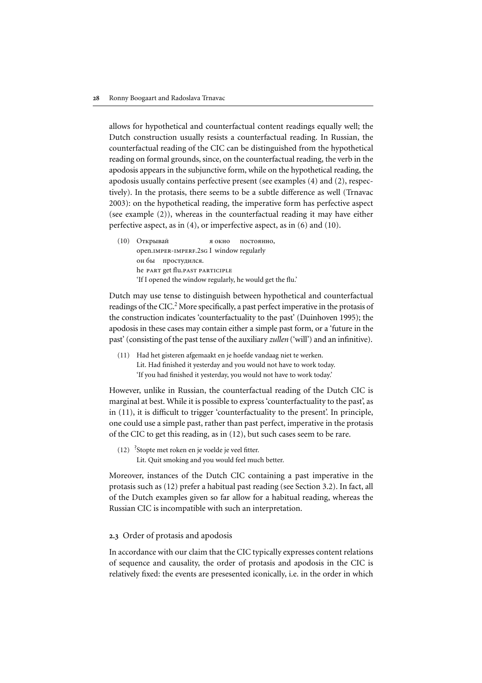allows for hypothetical and counterfactual content readings equally well; the Dutch construction usually resists a counterfactual reading. In Russian, the counterfactual reading of the CIC can be distinguished from the hypothetical reading on formal grounds, since, on the counterfactual reading, the verb in the apodosis appears in the subjunctive form, while on the hypothetical reading, the apodosis usually contains perfective present (see examples (4) and (2), respectively). In the protasis, there seems to be a subtle difference as well (Trnavac 2003): on the hypothetical reading, the imperative form has perfective aspect (see example (2)), whereas in the counterfactual reading it may have either perfective aspect, as in (4), or imperfective aspect, as in (6) and (10).  $\begin{array}{ll} \textbf{28} & \textbf{Ronny Boogaart and Radoslwa Transvac}\\ \textbf{28} & \textbf{Ronny Boogaart and Radoslwa Transvac} \\ \textbf{20} & \textbf{20} & \textbf{21} \\ \textbf{30} & \textbf{31} & \textbf{32} & \textbf{33} \\ \textbf{41} & \textbf{42} & \textbf{43} & \textbf{44} \\ \textbf{53} & \textbf{44} & \textbf{45} & \textbf{45} \\ \textbf{54} & \textbf{45} & \textbf{45} & \textbf{45} \\ \textbf{65$ 

(10) Открывай я окно о постоянно, open.imper-imperf.2sg I window regularly он бы простудился. he part get flu.past participle 'If I opened the window regularly, he would get the flu.'

Dutch may use tense to distinguish between hypothetical and counterfactual readings of the CIC.<sup>2</sup> More specifically, a past perfect imperative in the protasis of the construction indicates 'counterfactuality to the past' [\(Duinhoven 1995](#page-10-0)); the past' (consisting of the past tense of the auxiliary *zullen* ('will') and an infinitive).

(11) Had het gisteren afgemaakt en je hoefde vandaag niet te werken. Lit. Had finished it yesterday and you would not have to work today. 'If you had finished it yesterday, you would not have to work today.'

However, unlike in Russian, the counterfactual reading of the Dutch CIC is marginal at best. While it is possible to express 'counterfactuality to the past', as in (11), it is difficult to trigger 'counterfactuality to the present'. In principle, one could use a simple past, rather than past perfect, imperative in the protasis of the CIC to get this reading, as in (12), but such cases seem to be rare.

(12) ? Stopte met roken en je voelde je veel fitter. Lit. Quit smoking and you would feel much better.

Moreover, instances of the Dutch CIC containing a past imperative in the protasis such as (12) prefer a habitual past reading (see Section 3.2). In fact, all of the Dutch examples given so far allow for a habitual reading, whereas the Russian CIC is incompatible with such an interpretation.

# 2.3 Order of protasis and apodosis

In accordance with our claim that the CIC typically expresses content relations of sequence and causality, the order of protasis and apodosis in the CIC is relatively fixed: the events are presesented iconically, i.e. in the order in which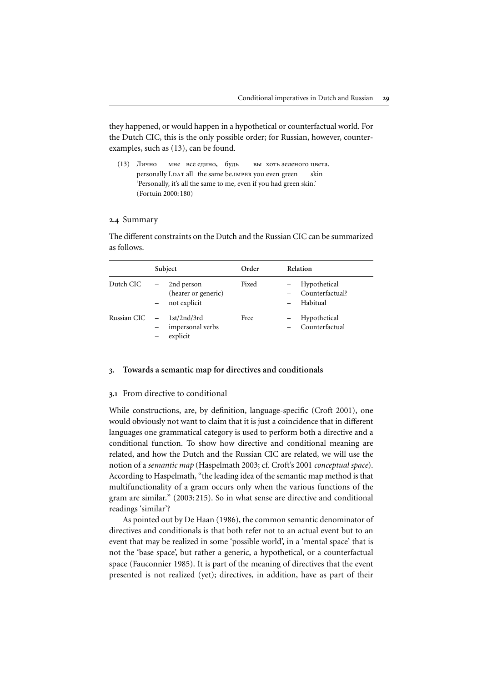## 2.4 Summary

|               | examples, such as (13), can be found.                                                                                                                                     |       | they happened, or would happen in a hypothetical or counterfactual world. For<br>the Dutch CIC, this is the only possible order; for Russian, however, counter- |
|---------------|---------------------------------------------------------------------------------------------------------------------------------------------------------------------------|-------|-----------------------------------------------------------------------------------------------------------------------------------------------------------------|
| Лично<br>(13) | мне все едино, будь<br>personally I.DAT all the same be.IMPER you even green<br>'Personally, it's all the same to me, even if you had green skin.'<br>(Fortuin 2000: 180) |       | вы хоть зеленого цвета.<br>skin                                                                                                                                 |
| 2.4 Summary   |                                                                                                                                                                           |       |                                                                                                                                                                 |
| as follows.   | Subject                                                                                                                                                                   | Order | The different constraints on the Dutch and the Russian CIC can be summarized<br>Relation                                                                        |
|               |                                                                                                                                                                           |       |                                                                                                                                                                 |
| Dutch CIC     | 2nd person<br>(hearer or generic)<br>not explicit                                                                                                                         | Fixed | Hypothetical<br>Counterfactual?<br>Habitual                                                                                                                     |

# 3. Towards a semantic map for directives and conditionals

## 3.1 From directive to conditional

While constructions, are, by definition, language-specific ([Croft 2001\)](#page-9-0), one would obviously not want to claim that it is just a coincidence that in different languages one grammatical category is used to perform both a directive and a conditional function. To show how directive and conditional meaning are related, and how the Dutch and the Russian CIC are related, we will use the notion of a *semantic map* (Haspelmath 2003; cf. Croft's 2001 *conceptual space*). multifunctionality of a gram occurs only when the various functions of the gram are similar." (2003:215). So in what sense are directive and conditional readings 'similar'? Conditional imperations in Duck and Rossian<br>
they happenets), or would happen in a hypothetical or counterfactual world. To<br>the Duck, this is the only possible order, for Russian, however, counter-<br>
examples, such as (13) Conditional imperatives in Dutch and Russian<br>
They happened, or would happen in a hypothetical or counterfuctual world. For<br>
presented CCC, this is the counter, figns. mass as part some some realized (13)<br>
Assume as not r

As pointed out by De [Haan \(1986\),](#page-10-0) the common semantic denominator of event that may be realized in some 'possible world', in a 'mental space' that is not the 'base space', but rather a generic, a hypothetical, or a counterfactual space ([Fauconnier 1985\)](#page-10-0). It is part of the meaning of directives that the event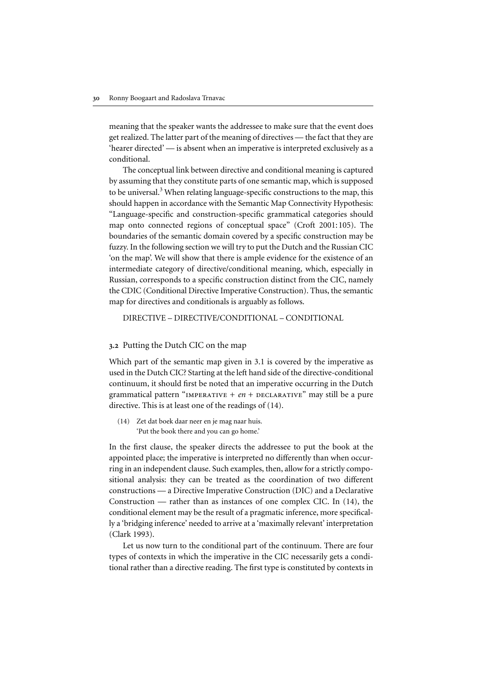meaning that the speaker wants the addressee to make sure that the event does get realized. The latter part of the meaning of directives — the fact that they are 'hearer directed' — is absent when an imperative is interpreted exclusively as a conditional.

The conceptual link between directive and conditional meaning is captured by assuming that they constitute parts of one semantic map, which is supposed to be universal.<sup>3</sup> When relating language-specific constructions to the map, this should happen in accordance with the Semantic Map Connectivity Hypothesis: "Language-specific and construction-specific grammatical categories should map onto connected regions of conceptual space" (Croft 2001:105). The boundaries of the semantic domain covered by a specific construction may be fuzzy. In the following section we will try to put the Dutch and the Russian CIC 'on the map'. We will show that there is ample evidence for the existence of an intermediate category of directive/conditional meaning, which, especially in Russian, corresponds to a specific construction distinct from the CIC, namely the CDIC (Conditional Directive Imperative Construction). Thus, the semantic map for directives and conditionals is arguably as follows. Boony Boogaart and Radoslava Thawac metallical metallical metallical metallical continuum. The farm of the continuum of the continuum of the continuum of the continuum of the content of the continuum of the continuum of t

DIRECTIVE – DIRECTIVE/CONDITIONAL – CONDITIONAL

## 3.2 Putting the Dutch CIC on the map

Which part of the semantic map given in 3.1 is covered by the imperative as used in the Dutch CIC? Starting at the left hand side of the directive-conditional continuum, it should first be noted that an imperative occurring in the Dutch grammatical pattern "IMPERATIVE +  $en +$  DECLARATIVE" may still be a pure directive. This is at least one of the readings of (14).

(14) Zet dat boek daar neer en je mag naar huis. 'Put the book there and you can go home.'

In the first clause, the speaker directs the addressee to put the book at the appointed place; the imperative is interpreted no differently than when occurring in an independent clause. Such examples, then, allow for a strictly compositional analysis: they can be treated as the coordination of two different constructions — a Directive Imperative Construction (DIC) and a Declarative Construction — rather than as instances of one complex CIC. In  $(14)$ , the conditional element may be the result of a pragmatic inference, more specifically a 'bridging inference' needed to arrive at a 'maximally relevant' interpretation (Clark 1993).

types of contexts in which the imperative in the CIC necessarily gets a conditional rather than a directive reading. The first type is constituted by contexts in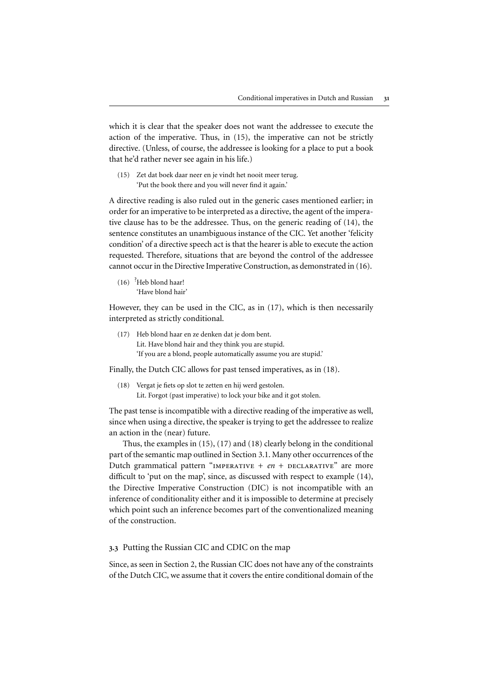which it is clear that the speaker does not want the addressee to execute the action of the imperative. Thus, in (15), the imperative can not be strictly directive. (Unless, of course, the addressee is looking for a place to put a book that he'd rather never see again in his life.)

(15) Zet dat boek daar neer en je vindt het nooit meer terug. 'Put the book there and you will never find it again.'

A directive reading is also ruled out in the generic cases mentioned earlier; in order for an imperative to be interpreted as a directive, the agent of the imperative clause has to be the addressee. Thus, on the generic reading of (14), the sentence constitutes an unambiguous instance of the CIC. Yet another 'felicity condition' of a directive speech act is that the hearer is able to execute the action requested. Therefore, situations that are beyond the control of the addressee cannot occur in the Directive Imperative Construction, as demonstrated in (16).

(16) ? Heb blond haar! 'Have blond hair'

However, they can be used in the CIC, as in (17), which is then necessarily interpreted as strictly conditional.

(17) Heb blond haar en ze denken dat je dom bent. Lit. Have blond hair and they think you are stupid. 'If you are a blond, people automatically assume you are stupid.'

Finally, the Dutch CIC allows for past tensed imperatives, as in (18).

(18) Vergat je fiets op slot te zetten en hij werd gestolen. Lit. Forgot (past imperative) to lock your bike and it got stolen.

The past tense is incompatible with a directive reading of the imperative as well, since when using a directive, the speaker is trying to get the addressee to realize an action in the (near) future.

Thus, the examples in (15), (17) and (18) clearly belong in the conditional part of the semantic map outlined in Section 3.1. Many other occurrences of the Dutch grammatical pattern "IMPERATIVE +  $en$  + DECLARATIVE" are more difficult to 'put on the map', since, as discussed with respect to example (14), the Directive Imperative Construction (DIC) is not incompatible with an inference of conditionality either and it is impossible to determine at precisely which point such an inference becomes part of the conventionalized meaning of the construction.

3.3 Putting the Russian CIC and CDIC on the map

Since, as seen in Section 2, the Russian CIC does not have any of the constraints of the Dutch CIC, we assume that it covers the entire conditional domain of the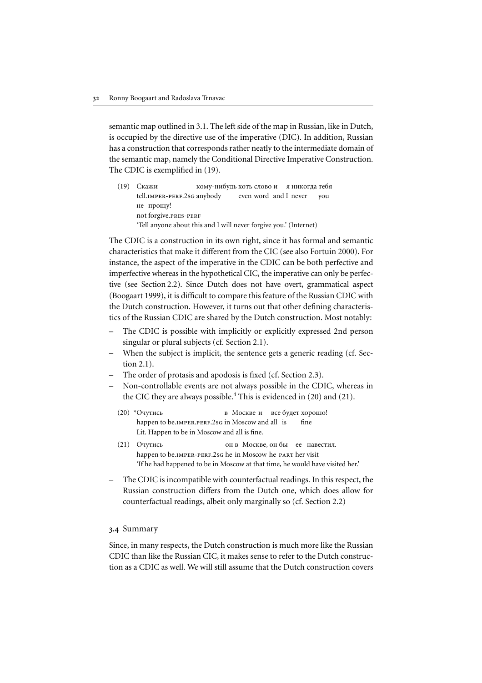semantic map outlined in 3.1. The left side of the map in Russian, like in Dutch, is occupied by the directive use of the imperative (DIC). In addition, Russian has a construction that corresponds rather neatly to the intermediate domain of the semantic map, namely the Conditional Directive Imperative Construction. The CDIC is exemplified in (19).

(19) Скажи кому-нибудь хоть слово и — я никогда тебя tell.imper-perf.2sg anybody even word and I never you не прощу! not forgive.pres-perf 'Tell anyone about this and I will never forgive you.' (Internet)

The CDIC is a construction in its own right, since it has formal and semantic characteristics that make it different from the CIC (see also [Fortuin 2000](#page-10-0)). For instance, the aspect of the imperative in the CDIC can be both perfective and imperfective whereas in the hypothetical CIC, the imperative can only be perfective (see Section 2.2). Since Dutch does not have overt, grammatical aspect ([Boogaart 1999](#page-9-0)), it is difficult to compare this feature of the Russian CDIC with  $\begin{tabular}{ll} \textbf{32} & \textbf{Ronny Boogaart and Radoslava Trnavac} \\ \textbf{33.1} & \textbf{33.1}. \textbf{The left side of the map in Russian, like in Dutch, \\ \textbf{34} & \textbf{35} & \textbf{36} & \textbf{37} \\ \textbf{35} & \textbf{37} & \textbf{38} & \textbf{38} \\ \textbf{36} & \textbf{38} & \textbf{38} & \textbf{38} \\ \textbf{37} & \textbf{38} & \textbf{38} & \textbf{38} \\ \textbf{38} & \textbf{38} & \text$ tics of the Russian CDIC are shared by the Dutch construction. Most notably:

- The CDIC is possible with implicitly or explicitly expressed 2nd person singular or plural subjects (cf. Section 2.1).
- When the subject is implicit, the sentence gets a generic reading (cf. Section 2.1).
- The order of protasis and apodosis is fixed (cf. Section 2.3).
- Non-controllable events are not always possible in the CDIC, whereas in the CIC they are always possible.<sup>[4](#page-9-0)</sup> This is evidenced in  $(20)$  and  $(21)$ .
	- $(20)$  \*Очутись сь в Москве и все будет хорошо! happen to be.IMPER.PERF.2sG in Moscow and all is fine Lit. Happen to be in Moscow and all is fine.
	- $(21)$  Очутись  $\mathcal{C}_{\mathbf{P}}$  oh в Москве, он бы иее навестил. happen to be.IMPER-PERF.2sG he in Moscow he PART her visit 'If he had happened to be in Moscow at that time, he would have visited her.'
- The CDIC is incompatible with counterfactual readings. In this respect, the Russian construction differs from the Dutch one, which does allow for counterfactual readings, albeit only marginally so (cf. Section 2.2)

## 3.4 Summary

Since, in many respects, the Dutch construction is much more like the Russian CDIC than like the Russian CIC, it makes sense to refer to the Dutch construction as a CDIC as well. We will still assume that the Dutch construction covers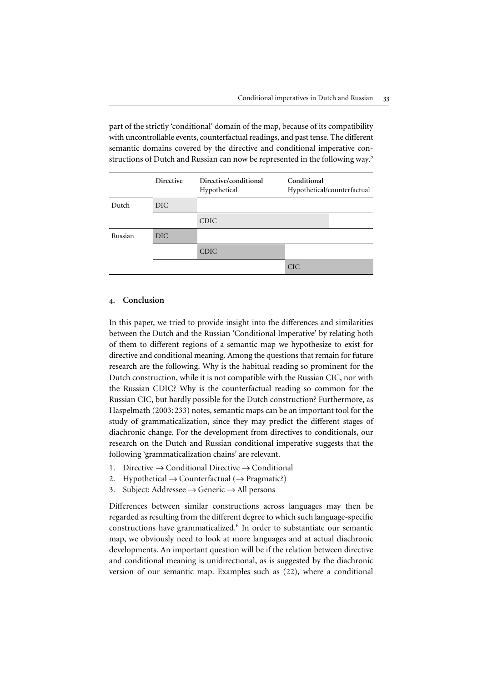part of the strictly 'conditional' domain of the map, because of its compatibility with uncontrollable events, counterfactual readings, and past tense. The different semantic domains covered by the directive and conditional imperative constructions of Dutch and Russian can now be represented in the following way.<sup>5</sup>

|         | <b>Directive</b> | Directive/conditional<br>Hypothetical | Conditional<br>Hypothetical/counterfactual |
|---------|------------------|---------------------------------------|--------------------------------------------|
| Dutch   | DIC.             |                                       |                                            |
|         |                  | <b>CDIC</b>                           |                                            |
| Russian | DIC <sub></sub>  |                                       |                                            |
|         |                  | <b>CDIC</b>                           |                                            |
|         |                  |                                       | <b>CIC</b>                                 |

# 4. Conclusion

In this paper, we tried to provide insight into the differences and similarities between the Dutch and the Russian 'Conditional Imperative' by relating both of them to different regions of a semantic map we hypothesize to exist for directive and conditional meaning. Among the questions that remain for future research are the following. Why is the habitual reading so prominent for the Dutch construction, while it is not compatible with the Russian CIC, nor with the Russian CDIC? Why is the counterfactual reading so common for the Russian CIC, but hardly possible for the Dutch construction? Furthermore, as [Haspelmath \(2003:233\)](#page-10-0) notes, semantic maps can be an important tool for the study of grammaticalization, since they may predict the different stages of diachronic change. For the development from directives to conditionals, our research on the Dutch and Russian conditional imperative suggests that the following 'grammaticalization chains' are relevant.

- 1. Directive  $\rightarrow$  Conditional Directive  $\rightarrow$  Conditional
- 2. Hypothetical  $\rightarrow$  Counterfactual ( $\rightarrow$  Pragmatic?)
- 3. Subject: Addressee  $\rightarrow$  Generic  $\rightarrow$  All persons

Differences between similar constructions across languages may then be regarded as resulting from the different degree to which such language-specific constructions have grammaticalized.<sup>[6](#page-9-0)</sup> In order to substantiate our semantic map, we obviously need to look at more languages and at actual diachronic developments. An important question will be if the relation between directive and conditional meaning is unidirectional, as is suggested by the diachronic version of our semantic map. Examples such as (22), where a conditional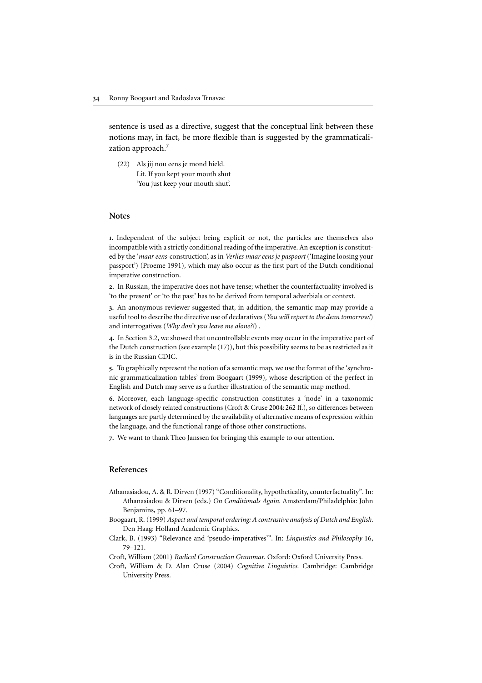<span id="page-9-0"></span>sentence is used as a directive, suggest that the conceptual link between these notions may, in fact, be more flexible than is suggested by the grammaticalization approach.<sup>7</sup>

(22) Als jij nou eens je mond hield. Lit. If you kept your mouth shut 'You just keep your mouth shut'.

## **Notes**

1. Independent of the subject being explicit or not, the particles are themselves also incompatible with a strictly conditional reading of the imperative. An exception is constituted by the '*maar eens*-construction', as in *Verlies maar eens je paspoort* ('Imagine loosing your passport') (Proeme 1991), which may also occur as the first part of the Dutch conditional imperative construction. 24 Romny Boogaart and Radoslava Trnavac<br>
Sentence is used as a directive, suggest that the conceptual link betwee<br>
2010 maproach.<sup>2</sup><br>
2010 maproach<sup>2</sup>. The subject being explicit or not, the particles are themsel<br>
2122 Al 34 Komy Boogaart and Radoslava Trawac<br>
sentence is used as a directive, suggest that the conceptual link between these<br>
notions may, in fact, be more flexible than is suggested by the grammaticali-<br>
22) Als jij nou cens j **34** Example Boogland and Badeolawa Timavac<br>
sentence is used as a directive, suggest that the conceptual link between these<br>
notions may, in fact, be more Bexibie than is suggested by the grammaticalization<br>
(22) Als jii Monny Boog<br>
sentence is<br>
notions ma<br>
zation app<br>
(22) Als<br>
Lit.<br>
"Yo<br>
Yo<br>
Notes<br>
1. Independ<br>
incompatible<br>
ed by the '*me*<br>
passport') (I imperative c<br>
2. In Russian<br>
"to the present"<br>
3. An anony<br>
useful tool to and inte

2. In Russian, the imperative does not have tense; whether the counterfactuality involved is 'to the present' or 'to the past' has to be derived from temporal adverbials or context.

3. An anonymous reviewer suggested that, in addition, the semantic map may provide a useful tool to describe the directive use of declaratives (*You will report to the dean tomorrow!*) and interrogatives (*Why don't you leave me alone?!*) .

4. In Section 3.2, we showed that uncontrollable events may occur in the imperative part of the Dutch construction (see example (17)), but this possibility seems to be as restricted as it is in the Russian CDIC.

5. To graphically represent the notion of a semantic map, we use the format of the 'synchronic grammaticalization tables' from Boogaart (1999), whose description of the perfect in

6. Moreover, each language-specific construction constitutes a 'node' in a taxonomic network of closely related constructions (Croft & Cruse 2004:262 ff.), so differences between the language, and the functional range of those other constructions.

7. We want to thank Theo Janssen for bringing this example to our attention.

## References

- Athanasiadou, A. & R. Dirven (1997) "Conditionality, hypotheticality, counterfactuality". In: Benjamins, pp. 61–97.
- Boogaart, R. (1999) *Aspect and temporal ordering: A contrastive analysis of Dutch and English.* Den Haag: Holland Academic Graphics.
- Clark, B. (1993) "Relevance and 'pseudo-imperatives'". In: *Linguistics and Philosophy* 16,
- Croft, William (2001) *Radical Construction Grammar*. Oxford: Oxford University Press.
- Croft, William & D. Alan Cruse (2004) *Cognitive Linguistics*. Cambridge: Cambridge University Press.